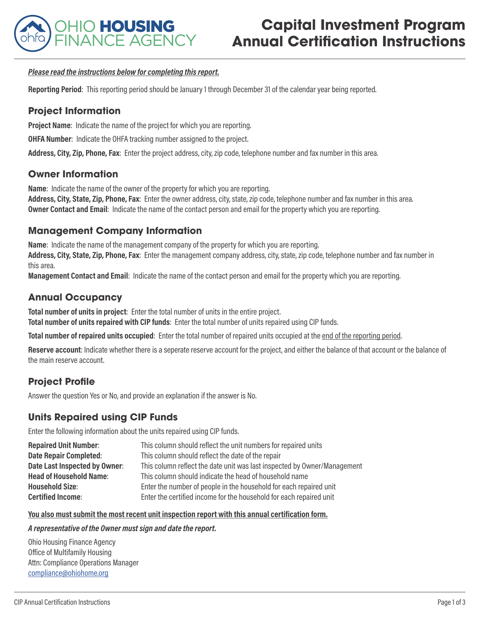

# **Capital Investment Program Annual Certification Instructions**

#### *Please read the instructions below for completing this report.*

**Reporting Period**: This reporting period should be January 1 through December 31 of the calendar year being reported.

## **Project Information**

**Project Name:** Indicate the name of the project for which you are reporting.

**OHFA Number**: Indicate the OHFA tracking number assigned to the project.

**Address, City, Zip, Phone, Fax**: Enter the project address, city, zip code, telephone number and fax number in this area.

### **Owner Information**

**Name**: Indicate the name of the owner of the property for which you are reporting.

**Address, City, State, Zip, Phone, Fax**: Enter the owner address, city, state, zip code, telephone number and fax number in this area. **Owner Contact and Email**: Indicate the name of the contact person and email for the property which you are reporting.

### **Management Company Information**

**Name**: Indicate the name of the management company of the property for which you are reporting.

**Address, City, State, Zip, Phone, Fax**: Enter the management company address, city, state, zip code, telephone number and fax number in this area.

**Management Contact and Email**: Indicate the name of the contact person and email for the property which you are reporting.

# **Annual Occupancy**

**Total number of units in project**: Enter the total number of units in the entire project. **Total number of units repaired with CIP funds**: Enter the total number of units repaired using CIP funds.

**Total number of repaired units occupied**: Enter the total number of repaired units occupied at the end of the reporting period.

**Reserve account**: Indicate whether there is a seperate reserve account for the project, and either the balance of that account or the balance of the main reserve account.

# **Project Profile**

Answer the question Yes or No, and provide an explanation if the answer is No.

# **Units Repaired using CIP Funds**

Enter the following information about the units repaired using CIP funds.

| <b>Repaired Unit Number:</b>   | This column should reflect the unit numbers for repaired units           |
|--------------------------------|--------------------------------------------------------------------------|
| <b>Date Repair Completed:</b>  | This column should reflect the date of the repair                        |
| Date Last Inspected by Owner:  | This column reflect the date unit was last inspected by Owner/Management |
| <b>Head of Household Name:</b> | This column should indicate the head of household name                   |
| <b>Household Size:</b>         | Enter the number of people in the household for each repaired unit       |
| <b>Certified Income:</b>       | Enter the certified income for the household for each repaired unit      |

#### **You also must submit the most recent unit inspection report with this annual certification form.**

#### *A representative of the Owner must sign and date the report.*

Ohio Housing Finance Agency Office of Multifamily Housing Attn: Compliance Operations Manager compliance@ohiohome.org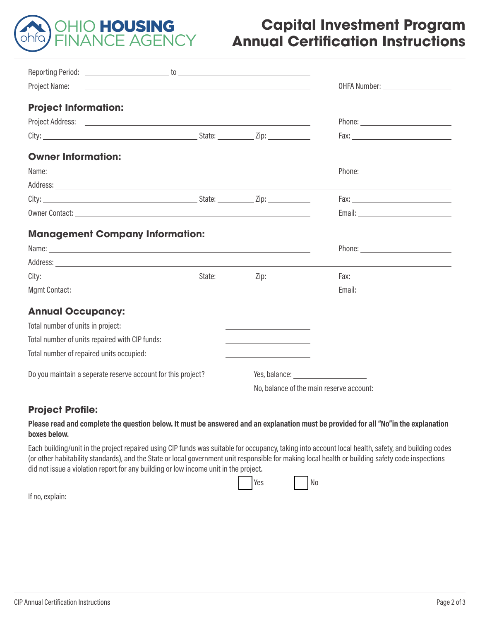

# **Capital Investment Program Annual Certification Instructions**

| Project Name:<br><u>state and the state of the state of the state of the state of the state of the state of the state of the state of the state of the state of the state of the state of the state of the state of the state of the state of the</u> |                                                                 |  |  |
|-------------------------------------------------------------------------------------------------------------------------------------------------------------------------------------------------------------------------------------------------------|-----------------------------------------------------------------|--|--|
| <b>Project Information:</b>                                                                                                                                                                                                                           |                                                                 |  |  |
|                                                                                                                                                                                                                                                       |                                                                 |  |  |
|                                                                                                                                                                                                                                                       |                                                                 |  |  |
| <b>Owner Information:</b>                                                                                                                                                                                                                             |                                                                 |  |  |
| Name: <u>example and the second contract of the second contract of the second contract of the second contract of the second contract of the second contract of the second contract of the second contract of the second contract</u>                  |                                                                 |  |  |
|                                                                                                                                                                                                                                                       |                                                                 |  |  |
|                                                                                                                                                                                                                                                       |                                                                 |  |  |
|                                                                                                                                                                                                                                                       |                                                                 |  |  |
| <b>Management Company Information:</b>                                                                                                                                                                                                                |                                                                 |  |  |
|                                                                                                                                                                                                                                                       |                                                                 |  |  |
|                                                                                                                                                                                                                                                       |                                                                 |  |  |
|                                                                                                                                                                                                                                                       |                                                                 |  |  |
|                                                                                                                                                                                                                                                       |                                                                 |  |  |
| <b>Annual Occupancy:</b>                                                                                                                                                                                                                              |                                                                 |  |  |
| Total number of units in project:                                                                                                                                                                                                                     | <u> 1989 - Johann Stein, mars an de Brasilia (b. 1989)</u>      |  |  |
| Total number of units repaired with CIP funds:                                                                                                                                                                                                        | the control of the control of the control of the control of the |  |  |
| Total number of repaired units occupied:                                                                                                                                                                                                              | the control of the control of the control of the                |  |  |
| Do you maintain a seperate reserve account for this project?                                                                                                                                                                                          |                                                                 |  |  |
|                                                                                                                                                                                                                                                       | No, balance of the main reserve account:                        |  |  |

# **Project Profile:**

#### **Please read and complete the question below. It must be answered and an explanation must be provided for all "No"in the explanation boxes below.**

Each building/unit in the project repaired using CIP funds was suitable for occupancy, taking into account local health, safety, and building codes (or other habitability standards), and the State or local government unit responsible for making local health or building safety code inspections did not issue a violation report for any building or low income unit in the project.

| . Yes | No |
|-------|----|

If no, explain: